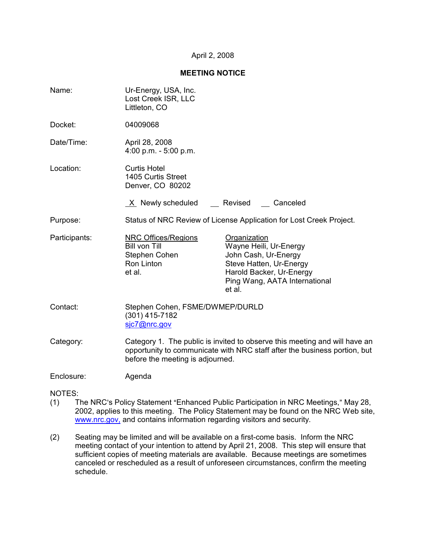### April 2, 2008

### **MEETING NOTICE**

| Name:         | Ur-Energy, USA, Inc.<br>Lost Creek ISR, LLC<br>Littleton, CO                                                                                                                                |                                                                                                                                                                  |  |
|---------------|---------------------------------------------------------------------------------------------------------------------------------------------------------------------------------------------|------------------------------------------------------------------------------------------------------------------------------------------------------------------|--|
| Docket:       | 04009068                                                                                                                                                                                    |                                                                                                                                                                  |  |
| Date/Time:    | April 28, 2008<br>4:00 p.m. $-5:00$ p.m.                                                                                                                                                    |                                                                                                                                                                  |  |
| Location:     | <b>Curtis Hotel</b><br>1405 Curtis Street<br>Denver, CO 80202                                                                                                                               |                                                                                                                                                                  |  |
|               | X Newly scheduled                                                                                                                                                                           | Revised<br>Canceled                                                                                                                                              |  |
| Purpose:      | Status of NRC Review of License Application for Lost Creek Project.                                                                                                                         |                                                                                                                                                                  |  |
| Participants: | <b>NRC Offices/Regions</b><br><b>Bill von Till</b><br>Stephen Cohen<br>Ron Linton<br>et al.                                                                                                 | Organization<br>Wayne Heili, Ur-Energy<br>John Cash, Ur-Energy<br>Steve Hatten, Ur-Energy<br>Harold Backer, Ur-Energy<br>Ping Wang, AATA International<br>et al. |  |
| Contact:      | Stephen Cohen, FSME/DWMEP/DURLD<br>(301) 415-7182<br>sic7@nrc.gov                                                                                                                           |                                                                                                                                                                  |  |
| Category:     | Category 1. The public is invited to observe this meeting and will have an<br>opportunity to communicate with NRC staff after the business portion, but<br>before the meeting is adjourned. |                                                                                                                                                                  |  |
| Enclosure:    | Agenda                                                                                                                                                                                      |                                                                                                                                                                  |  |

NOTES:

- (1) The NRC's Policy Statement "Enhanced Public Participation in NRC Meetings," May 28, 2002, applies to this meeting. The Policy Statement may be found on the NRC Web site, www.nrc.gov, and contains information regarding visitors and security.
- (2) Seating may be limited and will be available on a first-come basis. Inform the NRC meeting contact of your intention to attend by April 21, 2008. This step will ensure that sufficient copies of meeting materials are available. Because meetings are sometimes canceled or rescheduled as a result of unforeseen circumstances, confirm the meeting schedule.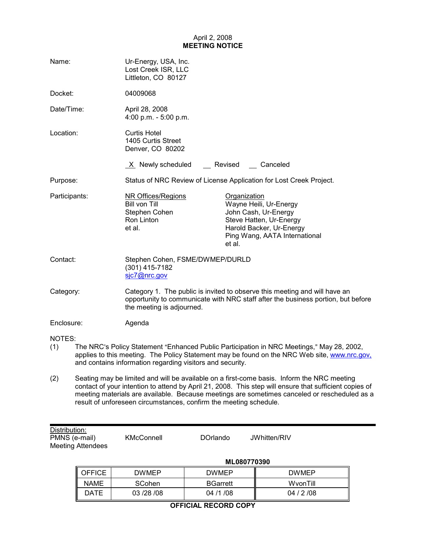# April 2, 2008 **MEETING NOTICE**

| Name:         |                                                                                            | Ur-Energy, USA, Inc.<br>Lost Creek ISR, LLC<br>Littleton, CO 80127           |                                                                                                                                                                                           |  |
|---------------|--------------------------------------------------------------------------------------------|------------------------------------------------------------------------------|-------------------------------------------------------------------------------------------------------------------------------------------------------------------------------------------|--|
| Docket:       |                                                                                            | 04009068                                                                     |                                                                                                                                                                                           |  |
| Date/Time:    |                                                                                            | April 28, 2008<br>4:00 p.m. - $5:00$ p.m.                                    |                                                                                                                                                                                           |  |
| Location:     |                                                                                            | <b>Curtis Hotel</b><br>1405 Curtis Street<br>Denver, CO 80202                |                                                                                                                                                                                           |  |
|               |                                                                                            | $X$ Newly scheduled                                                          | Revised Canceled                                                                                                                                                                          |  |
| Purpose:      |                                                                                            | Status of NRC Review of License Application for Lost Creek Project.          |                                                                                                                                                                                           |  |
| Participants: |                                                                                            | NR Offices/Regions<br>Bill von Till<br>Stephen Cohen<br>Ron Linton<br>et al. | Organization<br>Wayne Heili, Ur-Energy<br>John Cash, Ur-Energy<br>Steve Hatten, Ur-Energy<br>Harold Backer, Ur-Energy<br>Ping Wang, AATA International<br>et al.                          |  |
| Contact:      |                                                                                            | Stephen Cohen, FSME/DWMEP/DURLD<br>(301) 415-7182<br>sjc7@nrc.gov            |                                                                                                                                                                                           |  |
| Category:     |                                                                                            | the meeting is adjourned.                                                    | Category 1. The public is invited to observe this meeting and will have an<br>opportunity to communicate with NRC staff after the business portion, but before                            |  |
| Enclosure:    |                                                                                            | Agenda                                                                       |                                                                                                                                                                                           |  |
| NOTES:<br>(1) |                                                                                            | and contains information regarding visitors and security.                    | The NRC's Policy Statement "Enhanced Public Participation in NRC Meetings," May 28, 2002,<br>applies to this meeting. The Policy Statement may be found on the NRC Web site, www.nrc.gov, |  |
| (2)           | Seating may be limited and will be available on a first-come basis. Inform the NRC meeting |                                                                              |                                                                                                                                                                                           |  |

contact of your intention to attend by April 21, 2008. This step will ensure that sufficient copies of meeting materials are available. Because meetings are sometimes canceled or rescheduled as a result of unforeseen circumstances, confirm the meeting schedule.

| Distribution:            |            |          |              |  |
|--------------------------|------------|----------|--------------|--|
| PMNS (e-mail)            | KMcConnell | DOrlando | JWhitten/RIV |  |
| <b>Meeting Attendees</b> |            |          |              |  |

|               | ML080770390   |                 |              |  |
|---------------|---------------|-----------------|--------------|--|
| <b>OFFICE</b> | <b>DWMEP</b>  | <b>DWMEP</b>    | <b>DWMEP</b> |  |
| <b>NAME</b>   | <b>SCohen</b> | <b>BGarrett</b> | WyonTill     |  |
| <b>DATE</b>   | 03/28/08      | 04 /1 /08       | 04/2/08      |  |
| - -------     |               |                 |              |  |

# **OFFICIAL RECORD COPY**